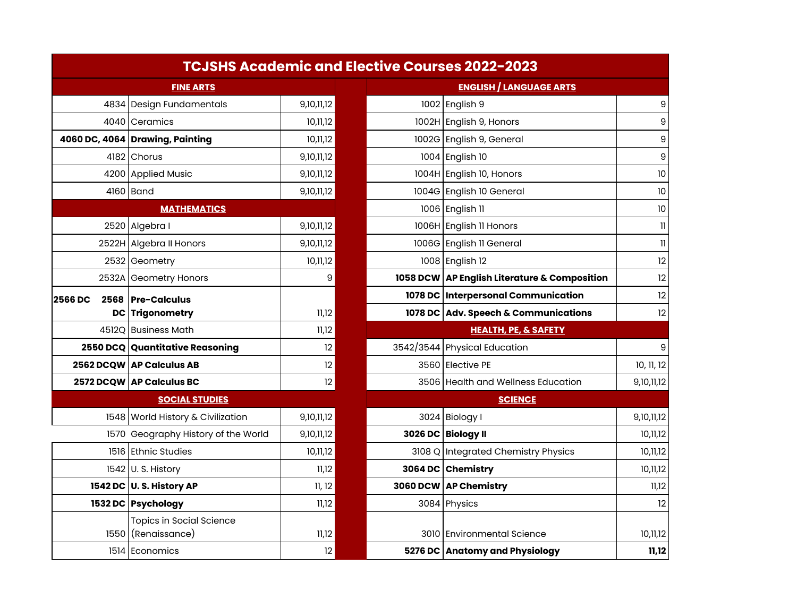|                | <b>TCJSHS Academic and Elective Courses 2022-2023</b> |            |                 |                                              |                            |
|----------------|-------------------------------------------------------|------------|-----------------|----------------------------------------------|----------------------------|
|                | <b>FINE ARTS</b>                                      |            |                 | <b>ENGLISH / LANGUAGE ARTS</b>               |                            |
|                | 4834 Design Fundamentals                              | 9,10,11,12 |                 | 1002 English 9                               | $\boldsymbol{9}$           |
|                | 4040 Ceramics                                         | 10,11,12   |                 | 1002H English 9, Honors                      | $\mathsf g$                |
|                | 4060 DC, 4064 Drawing, Painting                       | 10,11,12   |                 | 1002G English 9, General                     | $\mathsf g$                |
|                | 4182 Chorus                                           | 9,10,11,12 |                 | 1004 English 10                              | 9                          |
|                | 4200 Applied Music                                    | 9,10,11,12 |                 | 1004H English 10, Honors                     | 10                         |
|                | 4160 Band                                             | 9,10,11,12 |                 | 1004G English 10 General                     | 10                         |
|                |                                                       |            | 1006 English 11 | 10                                           |                            |
|                | 2520 Algebra I                                        | 9,10,11,12 |                 | 1006H English 11 Honors                      | 11                         |
|                | 2522H Algebra II Honors                               | 9,10,11,12 |                 | 1006G English II General                     | $\left\vert {}\right\vert$ |
|                | 2532 Geometry                                         | 10,11,12   |                 | 1008 English 12                              | 12                         |
|                | 2532A Geometry Honors                                 | 9          |                 | 1058 DCW AP English Literature & Composition | 12                         |
| <b>2566 DC</b> | 2568   Pre-Calculus                                   |            |                 | 1078 DC   Interpersonal Communication        | 12                         |
|                | DC Trigonometry                                       | 11,12      |                 | 1078 DC Adv. Speech & Communications         | $12 \overline{ }$          |
|                | 4512Q Business Math                                   | 11,12      |                 | <b>HEALTH, PE, &amp; SAFETY</b>              |                            |
|                | 2550 DCQ Quantitative Reasoning                       | 12         |                 | 3542/3544 Physical Education                 | 9                          |
|                | 2562 DCQW AP Calculus AB                              | 12         |                 | 3560 Elective PE                             | 10, 11, 12                 |
|                | 2572 DCQW AP Calculus BC                              | 12         |                 | 3506 Health and Wellness Education           | 9,10,11,12                 |
|                |                                                       |            | <b>SCIENCE</b>  |                                              |                            |
|                | 1548 World History & Civilization                     | 9,10,11,12 |                 | 3024 Biology I                               | 9,10,11,12                 |
|                | 1570 Geography History of the World                   | 9,10,11,12 |                 | 3026 DC Biology II                           | 10,11,12                   |
|                | 1516 Ethnic Studies                                   | 10,11,12   |                 | 3108 Q Integrated Chemistry Physics          | 10,11,12                   |
|                | 1542 U.S. History                                     | 11,12      |                 | 3064 DC Chemistry                            | 10,11,12                   |
|                | 1542 DC U.S. History AP                               | 11, 12     |                 | 3060 DCW AP Chemistry                        | 11,12                      |
|                | 1532 DC Psychology                                    | 11,12      |                 | 3084 Physics                                 | 12                         |
|                | <b>Topics in Social Science</b><br>1550 (Renaissance) | 11,12      |                 | 3010 Environmental Science                   | 10,11,12                   |
|                | 1514 Economics                                        | 12         |                 | 5276 DC Anatomy and Physiology               | 11,12                      |

|     | TCJSHS Academic and Elective Courses 2022-2023        |            |  |                                              |                            |
|-----|-------------------------------------------------------|------------|--|----------------------------------------------|----------------------------|
|     | <b>FINE ARTS</b>                                      |            |  | <b>ENGLISH / LANGUAGE ARTS</b>               |                            |
|     | 4834 Design Fundamentals                              | 9,10,11,12 |  | 1002 English 9                               | 9                          |
|     | 4040 Ceramics                                         | 10,11,12   |  | 1002H English 9, Honors                      | 9                          |
|     | 60 DC, 4064 Drawing, Painting                         | 10,11,12   |  | 1002G English 9, General                     | 9                          |
|     | 4182 Chorus                                           | 9,10,11,12 |  | 1004 English 10                              | $\mathsf g$                |
|     | 4200 Applied Music                                    | 9,10,11,12 |  | 1004H English 10, Honors                     | 10                         |
|     | 4160 Band                                             | 9,10,11,12 |  | 1004G English 10 General                     | 10                         |
|     | <b>MATHEMATICS</b>                                    |            |  | 1006 English 11                              | 10                         |
|     | 2520 Algebra I                                        | 9,10,11,12 |  | 1006H English II Honors                      | $\mathbf{1}$               |
|     | 2522H Algebra II Honors                               | 9,10,11,12 |  | 1006G English II General                     | $\ensuremath{\mathsf{11}}$ |
|     | 2532 Geometry                                         | 10,11,12   |  | 1008 English 12                              | 12                         |
|     | 2532A Geometry Honors                                 | 9          |  | 1058 DCW AP English Literature & Composition | 12                         |
| DC. | 2568 Pre-Calculus                                     |            |  | 1078 DC Interpersonal Communication          | 12                         |
|     | DC Trigonometry                                       | 11,12      |  | 1078 DC Adv. Speech & Communications         | 12                         |
|     | 4512Q Business Math                                   | 11,12      |  | <b>HEALTH, PE, &amp; SAFETY</b>              |                            |
|     | 2550 DCQ Quantitative Reasoning                       | 12         |  | 3542/3544 Physical Education                 | 9                          |
|     | 2562 DCQW   AP Calculus AB                            | 2          |  | 3560 Elective PE                             | 10, 11, 12                 |
|     | 2572 DCQW AP Calculus BC                              | 12         |  | 3506 Health and Wellness Education           | 9,10,11,12                 |
|     | <b>SOCIAL STUDIES</b>                                 |            |  | <b>SCIENCE</b>                               |                            |
|     | 1548 World History & Civilization                     | 9,10,11,12 |  | 3024 Biology I                               | 9,10,11,12                 |
|     | 1570 Geography History of the World                   | 9,10,11,12 |  | 3026 DC Biology II                           | 10,11,12                   |
|     | 1516 Ethnic Studies                                   | 10,11,12   |  | 3108 Q Integrated Chemistry Physics          | 10,11,12                   |
|     | $1542$ U. S. History                                  | 11,12      |  | 3064 DC Chemistry                            | 10,11,12                   |
|     | 1542 DC U.S. History AP                               | 11, 12     |  | 3060 DCW AP Chemistry                        | 11,12                      |
|     | 1532 DC Psychology                                    | 11,12      |  | 3084 Physics                                 | 12                         |
|     | <b>Topics in Social Science</b><br>1550 (Renaissance) | 11,12      |  | 3010 Environmental Science                   | 10,11,12                   |
|     | 1514 Economics                                        | 12         |  | 5276 DC Anatomy and Physiology               | 11,12                      |